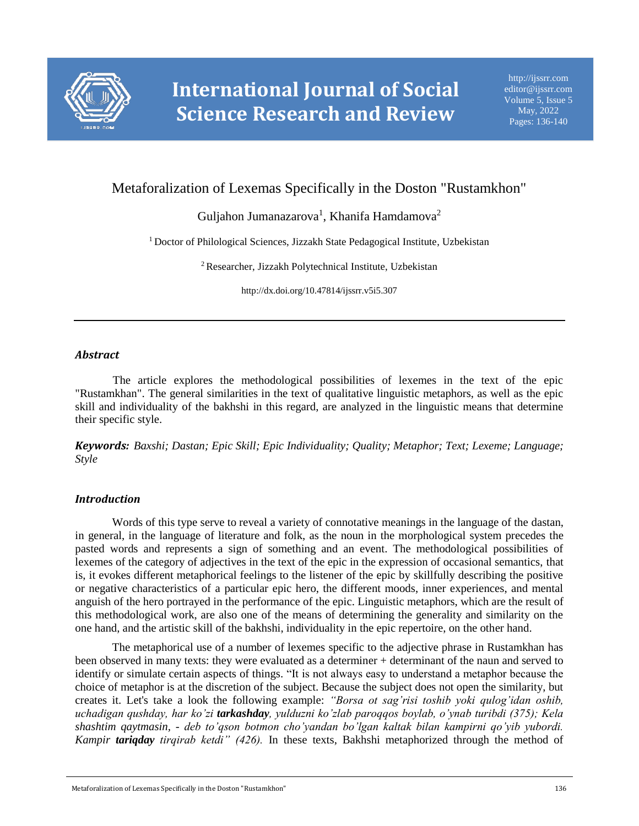

# Metaforalization of Lexemas Specifically in the Doston "Rustamkhon"

Guljahon Jumanazarova $^1$ , Khanifa Hamdamova $^2$ 

<sup>1</sup> Doctor of Philological Sciences, Jizzakh State Pedagogical Institute, Uzbekistan

<sup>2</sup>Researcher, Jizzakh Polytechnical Institute, Uzbekistan

http://dx.doi.org/10.47814/ijssrr.v5i5.307

## *Abstract*

The article explores the methodological possibilities of lexemes in the text of the epic "Rustamkhan". The general similarities in the text of qualitative linguistic metaphors, as well as the epic skill and individuality of the bakhshi in this regard, are analyzed in the linguistic means that determine their specific style.

*Keywords: Baxshi; Dastan; Epic Skill; Epic Individuality; Quality; Metaphor; Text; Lexeme; Language; Style*

## *Introduction*

Words of this type serve to reveal a variety of connotative meanings in the language of the dastan, in general, in the language of literature and folk, as the noun in the morphological system precedes the pasted words and represents a sign of something and an event. The methodological possibilities of lexemes of the category of adjectives in the text of the epic in the expression of occasional semantics, that is, it evokes different metaphorical feelings to the listener of the epic by skillfully describing the positive or negative characteristics of a particular epic hero, the different moods, inner experiences, and mental anguish of the hero portrayed in the performance of the epic. Linguistic metaphors, which are the result of this methodological work, are also one of the means of determining the generality and similarity on the one hand, and the artistic skill of the bakhshi, individuality in the epic repertoire, on the other hand.

The metaphorical use of a number of lexemes specific to the adjective phrase in Rustamkhan has been observed in many texts: they were evaluated as a determiner + determinant of the naun and served to identify or simulate certain aspects of things. "It is not always easy to understand a metaphor because the choice of metaphor is at the discretion of the subject. Because the subject does not open the similarity, but creates it. Let's take a look the following example: *"Borsa ot sag'risi toshib yoki qulog'idan oshib, uchadigan qushday, har ko'zi tarkashday, yulduzni ko'zlab paroqqos boylab, o'ynab turibdi (375); Kela shashtim qaytmasin, - deb to'qson botmon cho'yandan bo'lgan kaltak bilan kampirni qo'yib yubordi. Kampir tariqday tirqirab ketdi" (426).* In these texts, Bakhshi metaphorized through the method of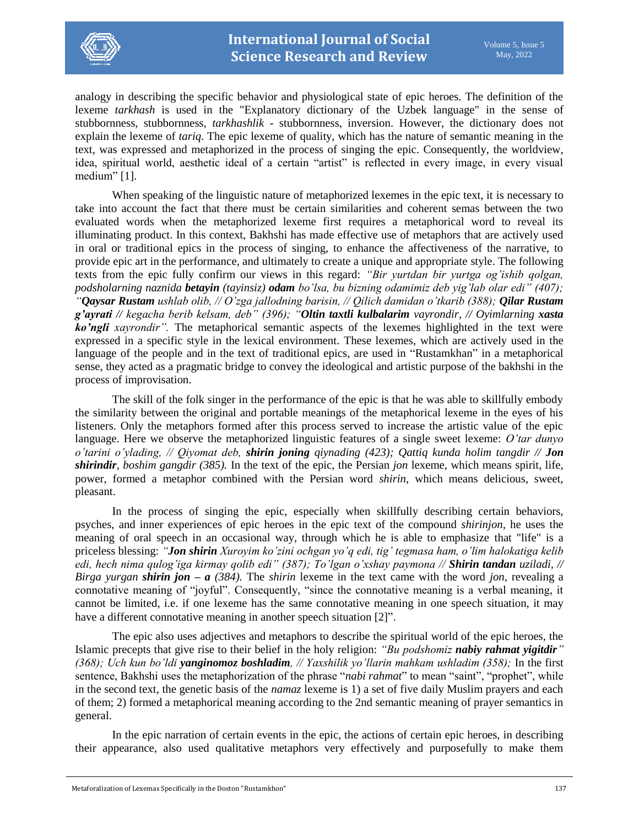

analogy in describing the specific behavior and physiological state of epic heroes. The definition of the lexeme *tarkhash* is used in the "Explanatory dictionary of the Uzbek language" in the sense of stubbornness, stubbornness, *tarkhashlik* - stubbornness, inversion. However, the dictionary does not explain the lexeme of *tariq*. The epic lexeme of quality, which has the nature of semantic meaning in the text, was expressed and metaphorized in the process of singing the epic. Consequently, the worldview, idea, spiritual world, aesthetic ideal of a certain "artist" is reflected in every image, in every visual medium" [1].

When speaking of the linguistic nature of metaphorized lexemes in the epic text, it is necessary to take into account the fact that there must be certain similarities and coherent semas between the two evaluated words when the metaphorized lexeme first requires a metaphorical word to reveal its illuminating product. In this context, Bakhshi has made effective use of metaphors that are actively used in oral or traditional epics in the process of singing, to enhance the affectiveness of the narrative, to provide epic art in the performance, and ultimately to create a unique and appropriate style. The following texts from the epic fully confirm our views in this regard: *"Bir yurtdan bir yurtga og'ishib qolgan, podsholarning naznida betayin (tayinsiz) odam bo'lsa, bu bizning odamimiz deb yig'lab olar edi" (407); "Qaysar Rustam ushlab olib, // O'zga jallodning barisin, // Qilich damidan o'tkarib (388); Qilar Rustam g'ayrati // kegacha berib kelsam, deb" (396); "Oltin taxtli kulbalarim vayrondir, // Oyimlarning xasta ko'ngli xayrondir".* The metaphorical semantic aspects of the lexemes highlighted in the text were expressed in a specific style in the lexical environment. These lexemes, which are actively used in the language of the people and in the text of traditional epics, are used in "Rustamkhan" in a metaphorical sense, they acted as a pragmatic bridge to convey the ideological and artistic purpose of the bakhshi in the process of improvisation.

The skill of the folk singer in the performance of the epic is that he was able to skillfully embody the similarity between the original and portable meanings of the metaphorical lexeme in the eyes of his listeners. Only the metaphors formed after this process served to increase the artistic value of the epic language. Here we observe the metaphorized linguistic features of a single sweet lexeme: *O'tar dunyo o'tarini o'ylading, // Qiyomat deb, shirin joning qiynading (423); Qattiq kunda holim tangdir // Jon shirindir, boshim gangdir (385).* In the text of the epic, the Persian *jon* lexeme, which means spirit, life, power, formed a metaphor combined with the Persian word *shirin*, which means delicious, sweet, pleasant.

In the process of singing the epic, especially when skillfully describing certain behaviors, psyches, and inner experiences of epic heroes in the epic text of the compound *shirinjon*, he uses the meaning of oral speech in an occasional way, through which he is able to emphasize that "life" is a priceless blessing: *"Jon shirin Xuroyim ko'zini ochgan yo'q edi, tig' tegmasa ham, o'lim halokatiga kelib edi, hech nima qulog'iga kirmay qolib edi" (387); To'lgan o'xshay paymona // Shirin tandan uziladi, // Birga yurgan shirin jon –*  $a$  *(384). The <i>shirin* lexeme in the text came with the word *jon*, revealing a connotative meaning of "joyful". Consequently, "since the connotative meaning is a verbal meaning, it cannot be limited, i.e. if one lexeme has the same connotative meaning in one speech situation, it may have a different connotative meaning in another speech situation [2]".

The epic also uses adjectives and metaphors to describe the spiritual world of the epic heroes, the Islamic precepts that give rise to their belief in the holy religion: *"Bu podshomiz nabiy rahmat yigitdir" (368); Uch kun bo'ldi yanginomoz boshladim, // Yaxshilik yo'llarin mahkam ushladim (358);* In the first sentence, Bakhshi uses the metaphorization of the phrase "*nabi rahmat*" to mean "saint", "prophet", while in the second text, the genetic basis of the *namaz* lexeme is 1) a set of five daily Muslim prayers and each of them; 2) formed a metaphorical meaning according to the 2nd semantic meaning of prayer semantics in general.

In the epic narration of certain events in the epic, the actions of certain epic heroes, in describing their appearance, also used qualitative metaphors very effectively and purposefully to make them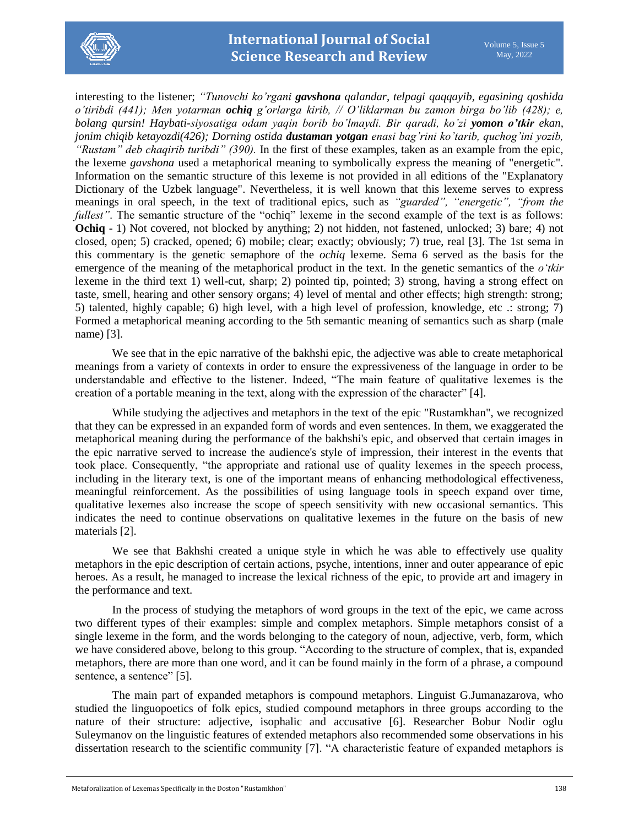

interesting to the listener; *"Tunovchi ko'rgani gavshona qalandar, telpagi qaqqayib, egasining qoshida o'tiribdi (441); Men yotarman ochiq g'orlarga kirib, // O'liklarman bu zamon birga bo'lib (428); e, bolang qursin! Haybati-siyosatiga odam yaqin borib bo'lmaydi. Bir qaradi, ko'zi yomon o'tkir ekan, jonim chiqib ketayozdi(426); Dorning ostida dustaman yotgan enasi bag'rini ko'tarib, quchog'ini yozib, "Rustam" deb chaqirib turibdi" (390).* In the first of these examples, taken as an example from the epic, the lexeme *gavshona* used a metaphorical meaning to symbolically express the meaning of "energetic". Information on the semantic structure of this lexeme is not provided in all editions of the "Explanatory Dictionary of the Uzbek language". Nevertheless, it is well known that this lexeme serves to express meanings in oral speech, in the text of traditional epics, such as *"guarded", "energetic", "from the fullest"*. The semantic structure of the "ochiq" lexeme in the second example of the text is as follows: **Ochiq** - 1) Not covered, not blocked by anything; 2) not hidden, not fastened, unlocked; 3) bare; 4) not closed, open; 5) cracked, opened; 6) mobile; clear; exactly; obviously; 7) true, real [3]. The 1st sema in this commentary is the genetic semaphore of the *ochiq* lexeme. Sema 6 served as the basis for the emergence of the meaning of the metaphorical product in the text. In the genetic semantics of the *o'tkir* lexeme in the third text 1) well-cut, sharp; 2) pointed tip, pointed; 3) strong, having a strong effect on taste, smell, hearing and other sensory organs; 4) level of mental and other effects; high strength: strong; 5) talented, highly capable; 6) high level, with a high level of profession, knowledge, etc .: strong; 7) Formed a metaphorical meaning according to the 5th semantic meaning of semantics such as sharp (male name) [3].

We see that in the epic narrative of the bakhshi epic, the adjective was able to create metaphorical meanings from a variety of contexts in order to ensure the expressiveness of the language in order to be understandable and effective to the listener. Indeed, "The main feature of qualitative lexemes is the creation of a portable meaning in the text, along with the expression of the character" [4].

While studying the adjectives and metaphors in the text of the epic "Rustamkhan", we recognized that they can be expressed in an expanded form of words and even sentences. In them, we exaggerated the metaphorical meaning during the performance of the bakhshi's epic, and observed that certain images in the epic narrative served to increase the audience's style of impression, their interest in the events that took place. Consequently, "the appropriate and rational use of quality lexemes in the speech process, including in the literary text, is one of the important means of enhancing methodological effectiveness, meaningful reinforcement. As the possibilities of using language tools in speech expand over time, qualitative lexemes also increase the scope of speech sensitivity with new occasional semantics. This indicates the need to continue observations on qualitative lexemes in the future on the basis of new materials [2].

We see that Bakhshi created a unique style in which he was able to effectively use quality metaphors in the epic description of certain actions, psyche, intentions, inner and outer appearance of epic heroes. As a result, he managed to increase the lexical richness of the epic, to provide art and imagery in the performance and text.

In the process of studying the metaphors of word groups in the text of the epic, we came across two different types of their examples: simple and complex metaphors. Simple metaphors consist of a single lexeme in the form, and the words belonging to the category of noun, adjective, verb, form, which we have considered above, belong to this group. "According to the structure of complex, that is, expanded metaphors, there are more than one word, and it can be found mainly in the form of a phrase, a compound sentence, a sentence" [5].

The main part of expanded metaphors is compound metaphors. Linguist G.Jumanazarova, who studied the linguopoetics of folk epics, studied compound metaphors in three groups according to the nature of their structure: adjective, isophalic and accusative [6]. Researcher Bobur Nodir oglu Suleymanov on the linguistic features of extended metaphors also recommended some observations in his dissertation research to the scientific community [7]. "A characteristic feature of expanded metaphors is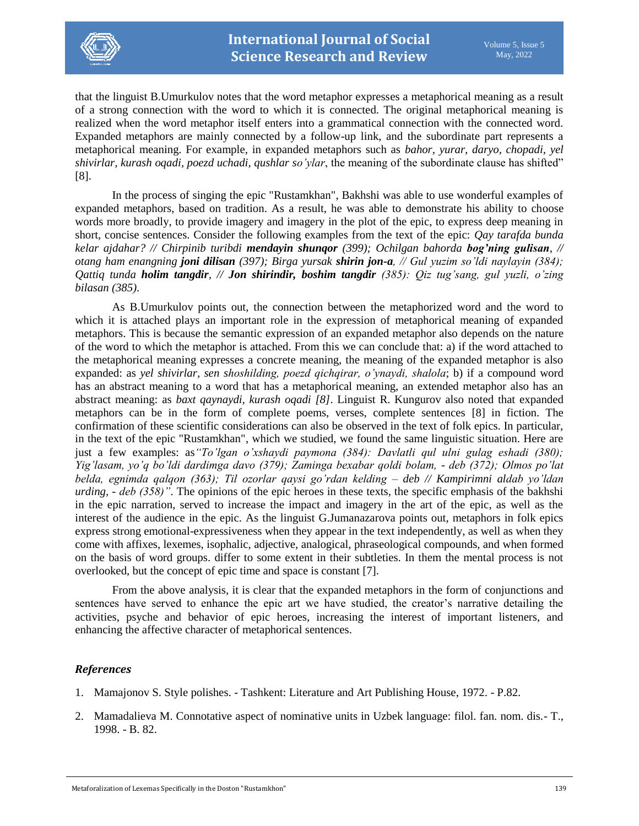

that the linguist B.Umurkulov notes that the word metaphor expresses a metaphorical meaning as a result of a strong connection with the word to which it is connected. The original metaphorical meaning is realized when the word metaphor itself enters into a grammatical connection with the connected word. Expanded metaphors are mainly connected by a follow-up link, and the subordinate part represents a metaphorical meaning. For example, in expanded metaphors such as *bahor, yurar, daryo, chopadi, yel shivirlar, kurash oqadi, poezd uchadi, qushlar so'ylar*, the meaning of the subordinate clause has shifted" [8].

In the process of singing the epic "Rustamkhan", Bakhshi was able to use wonderful examples of expanded metaphors, based on tradition. As a result, he was able to demonstrate his ability to choose words more broadly, to provide imagery and imagery in the plot of the epic, to express deep meaning in short, concise sentences. Consider the following examples from the text of the epic: *Qay tarafda bunda kelar ajdahar? // Chirpinib turibdi mendayin shunqor (399); Ochilgan bahorda bog'ning gulisan, // otang ham enangning joni dilisan (397); Birga yursak shirin jon-a, // Gul yuzim so'ldi naylayin (384); Qattiq tunda holim tangdir, // Jon shirindir, boshim tangdir (385): Qiz tug'sang, gul yuzli, o'zing bilasan (385)*.

As B.Umurkulov points out, the connection between the metaphorized word and the word to which it is attached plays an important role in the expression of metaphorical meaning of expanded metaphors. This is because the semantic expression of an expanded metaphor also depends on the nature of the word to which the metaphor is attached. From this we can conclude that: a) if the word attached to the metaphorical meaning expresses a concrete meaning, the meaning of the expanded metaphor is also expanded: as *yel shivirlar, sen shoshilding, poezd qichqirar, o'ynaydi, shalola*; b) if a compound word has an abstract meaning to a word that has a metaphorical meaning, an extended metaphor also has an abstract meaning: as *baxt qaynaydi, kurash oqadi [8]*. Linguist R. Kungurov also noted that expanded metaphors can be in the form of complete poems, verses, complete sentences [8] in fiction. The confirmation of these scientific considerations can also be observed in the text of folk epics. In particular, in the text of the epic "Rustamkhan", which we studied, we found the same linguistic situation. Here are just a few examples: as*"To'lgan o'xshaydi paymona (384): Davlatli qul ulni gulag eshadi (380); Yig'lasam, yo'q bo'ldi dardimga davo (379); Zaminga bexabar qoldi bolam, - deb (372); Olmos po'lat belda, egnimda qalqon (363); Til ozorlar qaysi go'rdan kelding – deb // Kampirimni aldab yo'ldan urding, - deb (358)"*. The opinions of the epic heroes in these texts, the specific emphasis of the bakhshi in the epic narration, served to increase the impact and imagery in the art of the epic, as well as the interest of the audience in the epic. As the linguist G.Jumanazarova points out, metaphors in folk epics express strong emotional-expressiveness when they appear in the text independently, as well as when they come with affixes, lexemes, isophalic, adjective, analogical, phraseological compounds, and when formed on the basis of word groups. differ to some extent in their subtleties. In them the mental process is not overlooked, but the concept of epic time and space is constant [7].

From the above analysis, it is clear that the expanded metaphors in the form of conjunctions and sentences have served to enhance the epic art we have studied, the creator's narrative detailing the activities, psyche and behavior of epic heroes, increasing the interest of important listeners, and enhancing the affective character of metaphorical sentences.

## *References*

- 1. Mamajonov S. Style polishes. Tashkent: Literature and Art Publishing House, 1972. P.82.
- 2. Mamadalieva M. Connotative aspect of nominative units in Uzbek language: filol. fan. nom. dis.- T., 1998. - B. 82.